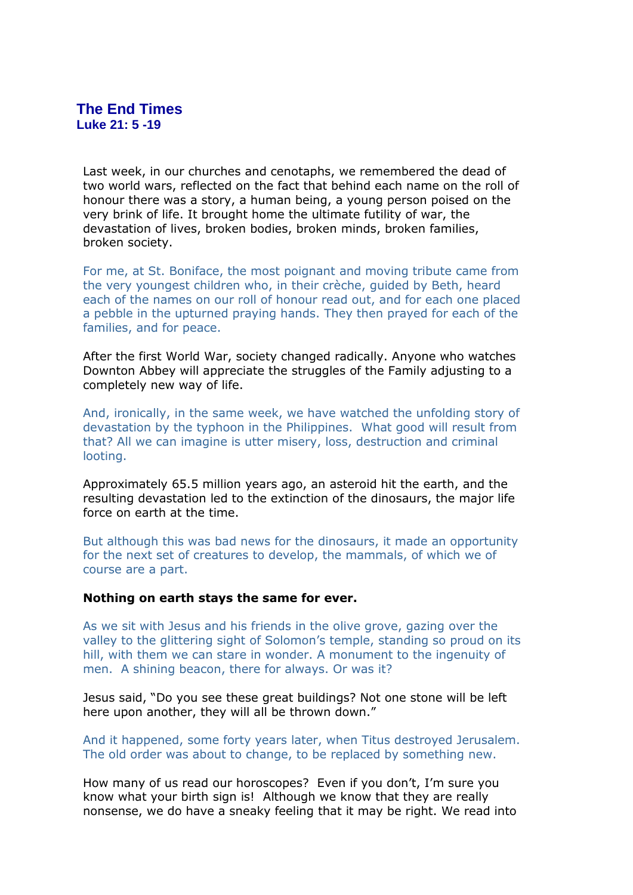# **The End Times Luke 21: 5 -19**

Last week, in our churches and cenotaphs, we remembered the dead of two world wars, reflected on the fact that behind each name on the roll of honour there was a story, a human being, a young person poised on the very brink of life. It brought home the ultimate futility of war, the devastation of lives, broken bodies, broken minds, broken families, broken society.

For me, at St. Boniface, the most poignant and moving tribute came from the very youngest children who, in their crèche, guided by Beth, heard each of the names on our roll of honour read out, and for each one placed a pebble in the upturned praying hands. They then prayed for each of the families, and for peace.

After the first World War, society changed radically. Anyone who watches Downton Abbey will appreciate the struggles of the Family adjusting to a completely new way of life.

And, ironically, in the same week, we have watched the unfolding story of devastation by the typhoon in the Philippines. What good will result from that? All we can imagine is utter misery, loss, destruction and criminal looting.

Approximately 65.5 million years ago, an asteroid hit the earth, and the resulting devastation led to the extinction of the dinosaurs, the major life force on earth at the time.

But although this was bad news for the dinosaurs, it made an opportunity for the next set of creatures to develop, the mammals, of which we of course are a part.

### **Nothing on earth stays the same for ever.**

As we sit with Jesus and his friends in the olive grove, gazing over the valley to the glittering sight of Solomon's temple, standing so proud on its hill, with them we can stare in wonder. A monument to the ingenuity of men. A shining beacon, there for always. Or was it?

Jesus said, "Do you see these great buildings? Not one stone will be left here upon another, they will all be thrown down."

And it happened, some forty years later, when Titus destroyed Jerusalem. The old order was about to change, to be replaced by something new.

How many of us read our horoscopes? Even if you don't, I'm sure you know what your birth sign is! Although we know that they are really nonsense, we do have a sneaky feeling that it may be right. We read into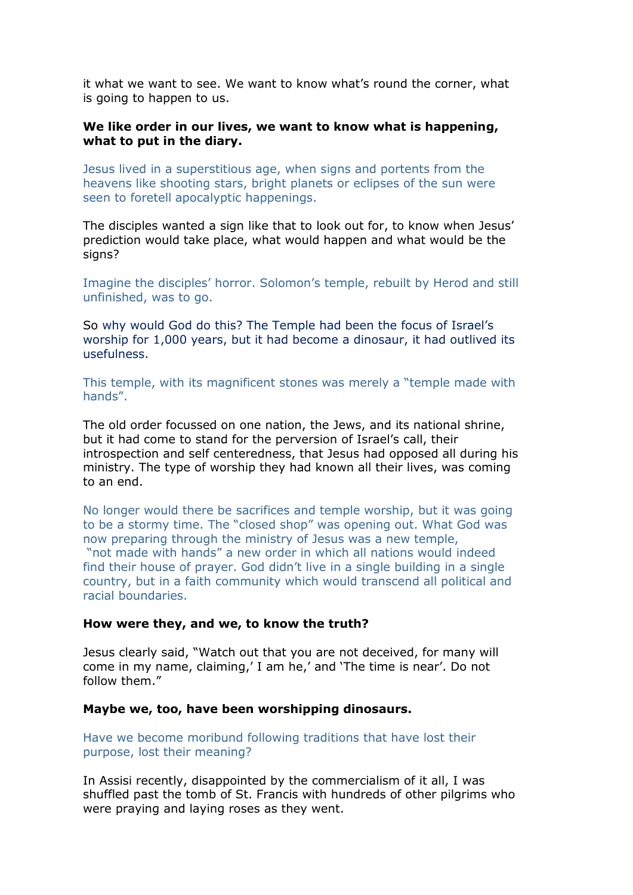it what we want to see. We want to know what's round the corner, what is going to happen to us.

### **We like order in our lives, we want to know what is happening, what to put in the diary.**

Jesus lived in a superstitious age, when signs and portents from the heavens like shooting stars, bright planets or eclipses of the sun were seen to foretell apocalyptic happenings.

The disciples wanted a sign like that to look out for, to know when Jesus' prediction would take place, what would happen and what would be the signs?

Imagine the disciples' horror. Solomon's temple, rebuilt by Herod and still unfinished, was to go.

So why would God do this? The Temple had been the focus of Israel's worship for 1,000 years, but it had become a dinosaur, it had outlived its usefulness.

This temple, with its magnificent stones was merely a "temple made with hands".

The old order focussed on one nation, the Jews, and its national shrine, but it had come to stand for the perversion of Israel's call, their introspection and self centeredness, that Jesus had opposed all during his ministry. The type of worship they had known all their lives, was coming to an end.

No longer would there be sacrifices and temple worship, but it was going to be a stormy time. The "closed shop" was opening out. What God was now preparing through the ministry of Jesus was a new temple, "not made with hands" a new order in which all nations would indeed find their house of prayer. God didn't live in a single building in a single country, but in a faith community which would transcend all political and racial boundaries.

#### **How were they, and we, to know the truth?**

Jesus clearly said, "Watch out that you are not deceived, for many will come in my name, claiming,' I am he,' and 'The time is near'. Do not follow them."

#### **Maybe we, too, have been worshipping dinosaurs.**

Have we become moribund following traditions that have lost their purpose, lost their meaning?

In Assisi recently, disappointed by the commercialism of it all, I was shuffled past the tomb of St. Francis with hundreds of other pilgrims who were praying and laying roses as they went.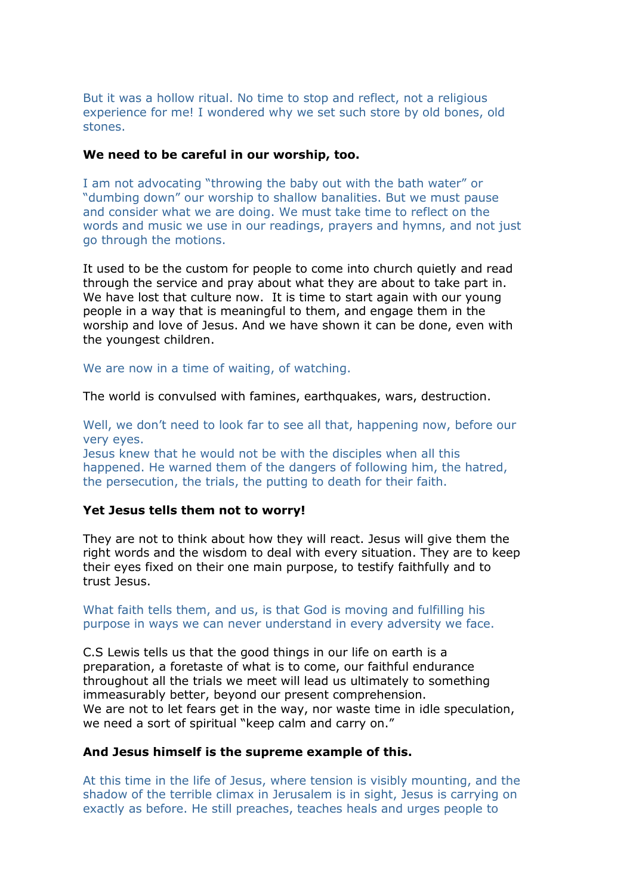But it was a hollow ritual. No time to stop and reflect, not a religious experience for me! I wondered why we set such store by old bones, old stones.

#### **We need to be careful in our worship, too.**

I am not advocating "throwing the baby out with the bath water" or "dumbing down" our worship to shallow banalities. But we must pause and consider what we are doing. We must take time to reflect on the words and music we use in our readings, prayers and hymns, and not just go through the motions.

It used to be the custom for people to come into church quietly and read through the service and pray about what they are about to take part in. We have lost that culture now. It is time to start again with our young people in a way that is meaningful to them, and engage them in the worship and love of Jesus. And we have shown it can be done, even with the youngest children.

We are now in a time of waiting, of watching.

The world is convulsed with famines, earthquakes, wars, destruction.

Well, we don't need to look far to see all that, happening now, before our very eyes.

Jesus knew that he would not be with the disciples when all this happened. He warned them of the dangers of following him, the hatred, the persecution, the trials, the putting to death for their faith.

#### **Yet Jesus tells them not to worry!**

They are not to think about how they will react. Jesus will give them the right words and the wisdom to deal with every situation. They are to keep their eyes fixed on their one main purpose, to testify faithfully and to trust Jesus.

What faith tells them, and us, is that God is moving and fulfilling his purpose in ways we can never understand in every adversity we face.

C.S Lewis tells us that the good things in our life on earth is a preparation, a foretaste of what is to come, our faithful endurance throughout all the trials we meet will lead us ultimately to something immeasurably better, beyond our present comprehension. We are not to let fears get in the way, nor waste time in idle speculation, we need a sort of spiritual "keep calm and carry on."

#### **And Jesus himself is the supreme example of this.**

At this time in the life of Jesus, where tension is visibly mounting, and the shadow of the terrible climax in Jerusalem is in sight, Jesus is carrying on exactly as before. He still preaches, teaches heals and urges people to